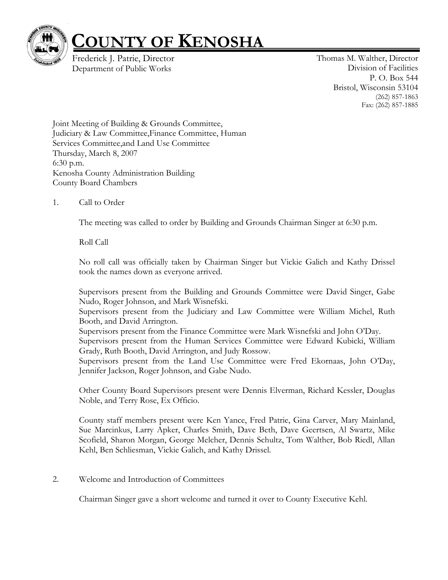

## **COUNTY OF KENOSHA**

<span id="page-0-4"></span><span id="page-0-0"></span>[Frederick J. Patrie, Director](#page-0-0) Department of Public Works

<span id="page-0-3"></span><span id="page-0-2"></span><span id="page-0-1"></span>Thomas M. Walther, Director Divisi[on of Facilities](#page-0-1) [P. O. Box 544](#page-0-2) Bristol, Wisc[onsin 53104](#page-0-3) (262) 857-1863 Fax: (262) 857-1885

Joint Meeting of Building & Grounds Committee, Judiciary & Law Committee,Finance Committee, Human Services Committee,and Land Use Committee Thursday, March 8, 2007 6:30 p.m. Kenosha County Administration Building County Board Chambers

## 1. Call to Order

The meeting was called to order by Building and Grounds Chairman Singer at 6:30 p.m.

Roll Call

No roll call was officially taken by Chairman Singer but Vickie Galich and Kathy Drissel took the names down as everyone arrived.

Supervisors present from the Building and Grounds Committee were David Singer, Gabe Nudo, Roger Johnson, and Mark Wisnefski.

Supervisors present from the Judiciary and Law Committee were William Michel, Ruth Booth, and David Arrington.

Supervisors present from the Finance Committee were Mark Wisnefski and John O'Day.

Supervisors present from the Human Services Committee were Edward Kubicki, William Grady, Ruth Booth, David Arrington, and Judy Rossow.

Supervisors present from the Land Use Committee were Fred Ekornaas, John O'Day, Jennifer Jackson, Roger Johnson, and Gabe Nudo.

Other County Board Supervisors present were Dennis Elverman, Richard Kessler, Douglas Noble, and Terry Rose, Ex Officio.

County staff members present were Ken Yance, Fred Patrie, Gina Carver, Mary Mainland, Sue Marcinkus, Larry Apker, Charles Smith, Dave Beth, Dave Geertsen, Al Swartz, Mike Scofield, Sharon Morgan, George Melcher, Dennis Schultz, Tom Walther, Bob Riedl, Allan Kehl, Ben Schliesman, Vickie Galich, and Kathy Drissel.

2. Welcome and Introduction of Committees

Chairman Singer gave a short welcome and turned it over to County Executive Kehl.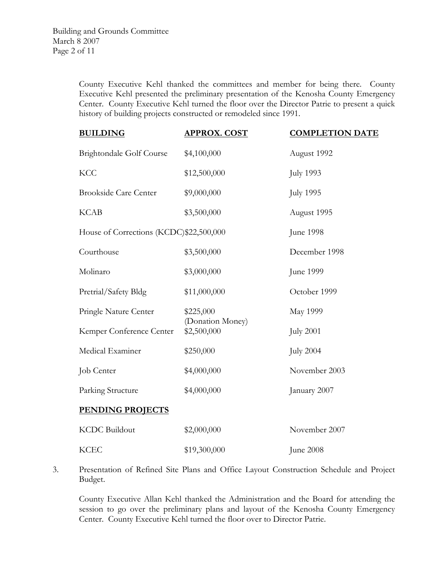County Executive Kehl thanked the committees and member for being there. County Executive Kehl presented the preliminary presentation of the Kenosha County Emergency Center. County Executive Kehl turned the floor over the Director Patrie to present a quick history of building projects constructed or remodeled since 1991.

| <b>BUILDING</b>                         | <b>APPROX. COST</b>             | <b>COMPLETION DATE</b> |
|-----------------------------------------|---------------------------------|------------------------|
| Brightondale Golf Course                | \$4,100,000                     | August 1992            |
| <b>KCC</b>                              | \$12,500,000                    | <b>July 1993</b>       |
| <b>Brookside Care Center</b>            | \$9,000,000                     | <b>July 1995</b>       |
| <b>KCAB</b>                             | \$3,500,000                     | August 1995            |
| House of Corrections (KCDC)\$22,500,000 |                                 | June 1998              |
| Courthouse                              | \$3,500,000                     | December 1998          |
| Molinaro                                | \$3,000,000                     | June 1999              |
| Pretrial/Safety Bldg                    | \$11,000,000                    | October 1999           |
| Pringle Nature Center                   | \$225,000                       | <b>May 1999</b>        |
| Kemper Conference Center                | (Donation Money)<br>\$2,500,000 | <b>July 2001</b>       |
| Medical Examiner                        | \$250,000                       | <b>July 2004</b>       |
| Job Center                              | \$4,000,000                     | November 2003          |
| Parking Structure                       | \$4,000,000                     | January 2007           |
| <b>PENDING PROJECTS</b>                 |                                 |                        |
| <b>KCDC</b> Buildout                    | \$2,000,000                     | November 2007          |
| <b>KCEC</b>                             | \$19,300,000                    | June 2008              |

3. Presentation of Refined Site Plans and Office Layout Construction Schedule and Project Budget.

County Executive Allan Kehl thanked the Administration and the Board for attending the session to go over the preliminary plans and layout of the Kenosha County Emergency Center. County Executive Kehl turned the floor over to Director Patrie.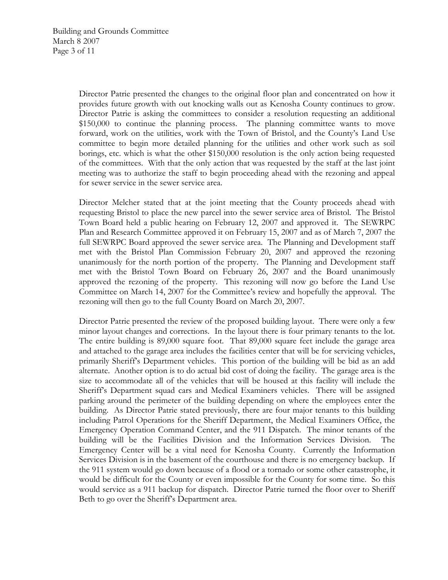Director Patrie presented the changes to the original floor plan and concentrated on how it provides future growth with out knocking walls out as Kenosha County continues to grow. Director Patrie is asking the committees to consider a resolution requesting an additional \$150,000 to continue the planning process. The planning committee wants to move forward, work on the utilities, work with the Town of Bristol, and the County's Land Use committee to begin more detailed planning for the utilities and other work such as soil borings, etc. which is what the other \$150,000 resolution is the only action being requested of the committees. With that the only action that was requested by the staff at the last joint meeting was to authorize the staff to begin proceeding ahead with the rezoning and appeal for sewer service in the sewer service area.

Director Melcher stated that at the joint meeting that the County proceeds ahead with requesting Bristol to place the new parcel into the sewer service area of Bristol. The Bristol Town Board held a public hearing on February 12, 2007 and approved it. The SEWRPC Plan and Research Committee approved it on February 15, 2007 and as of March 7, 2007 the full SEWRPC Board approved the sewer service area. The Planning and Development staff met with the Bristol Plan Commission February 20, 2007 and approved the rezoning unanimously for the north portion of the property. The Planning and Development staff met with the Bristol Town Board on February 26, 2007 and the Board unanimously approved the rezoning of the property. This rezoning will now go before the Land Use Committee on March 14, 2007 for the Committee's review and hopefully the approval. The rezoning will then go to the full County Board on March 20, 2007.

Director Patrie presented the review of the proposed building layout. There were only a few minor layout changes and corrections. In the layout there is four primary tenants to the lot. The entire building is 89,000 square foot. That 89,000 square feet include the garage area and attached to the garage area includes the facilities center that will be for servicing vehicles, primarily Sheriff's Department vehicles. This portion of the building will be bid as an add alternate. Another option is to do actual bid cost of doing the facility. The garage area is the size to accommodate all of the vehicles that will be housed at this facility will include the Sheriff's Department squad cars and Medical Examiners vehicles. There will be assigned parking around the perimeter of the building depending on where the employees enter the building. As Director Patrie stated previously, there are four major tenants to this building including Patrol Operations for the Sheriff Department, the Medical Examiners Office, the Emergency Operation Command Center, and the 911 Dispatch. The minor tenants of the building will be the Facilities Division and the Information Services Division. The Emergency Center will be a vital need for Kenosha County. Currently the Information Services Division is in the basement of the courthouse and there is no emergency backup. If the 911 system would go down because of a flood or a tornado or some other catastrophe, it would be difficult for the County or even impossible for the County for some time. So this would service as a 911 backup for dispatch. Director Patrie turned the floor over to Sheriff Beth to go over the Sheriff's Department area.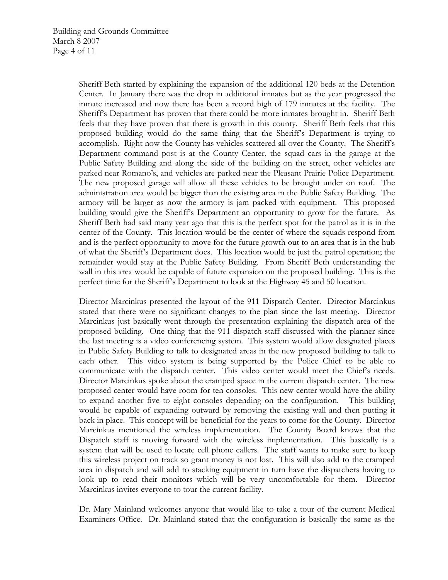Sheriff Beth started by explaining the expansion of the additional 120 beds at the Detention Center. In January there was the drop in additional inmates but as the year progressed the inmate increased and now there has been a record high of 179 inmates at the facility. The Sheriff's Department has proven that there could be more inmates brought in. Sheriff Beth feels that they have proven that there is growth in this county. Sheriff Beth feels that this proposed building would do the same thing that the Sheriff's Department is trying to accomplish. Right now the County has vehicles scattered all over the County. The Sheriff's Department command post is at the County Center, the squad cars in the garage at the Public Safety Building and along the side of the building on the street, other vehicles are parked near Romano's, and vehicles are parked near the Pleasant Prairie Police Department. The new proposed garage will allow all these vehicles to be brought under on roof. The administration area would be bigger than the existing area in the Public Safety Building. The armory will be larger as now the armory is jam packed with equipment. This proposed building would give the Sheriff's Department an opportunity to grow for the future. As Sheriff Beth had said many year ago that this is the perfect spot for the patrol as it is in the center of the County. This location would be the center of where the squads respond from and is the perfect opportunity to move for the future growth out to an area that is in the hub of what the Sheriff's Department does. This location would be just the patrol operation; the remainder would stay at the Public Safety Building. From Sheriff Beth understanding the wall in this area would be capable of future expansion on the proposed building. This is the perfect time for the Sheriff's Department to look at the Highway 45 and 50 location.

Director Marcinkus presented the layout of the 911 Dispatch Center. Director Marcinkus stated that there were no significant changes to the plan since the last meeting. Director Marcinkus just basically went through the presentation explaining the dispatch area of the proposed building. One thing that the 911 dispatch staff discussed with the planner since the last meeting is a video conferencing system. This system would allow designated places in Public Safety Building to talk to designated areas in the new proposed building to talk to each other. This video system is being supported by the Police Chief to be able to communicate with the dispatch center. This video center would meet the Chief's needs. Director Marcinkus spoke about the cramped space in the current dispatch center. The new proposed center would have room for ten consoles. This new center would have the ability to expand another five to eight consoles depending on the configuration. This building would be capable of expanding outward by removing the existing wall and then putting it back in place. This concept will be beneficial for the years to come for the County. Director Marcinkus mentioned the wireless implementation. The County Board knows that the Dispatch staff is moving forward with the wireless implementation. This basically is a system that will be used to locate cell phone callers. The staff wants to make sure to keep this wireless project on track so grant money is not lost. This will also add to the cramped area in dispatch and will add to stacking equipment in turn have the dispatchers having to look up to read their monitors which will be very uncomfortable for them. Director Marcinkus invites everyone to tour the current facility.

Dr. Mary Mainland welcomes anyone that would like to take a tour of the current Medical Examiners Office. Dr. Mainland stated that the configuration is basically the same as the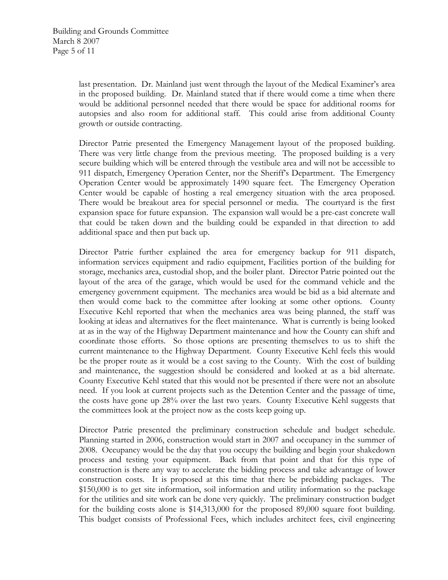last presentation. Dr. Mainland just went through the layout of the Medical Examiner's area in the proposed building. Dr. Mainland stated that if there would come a time when there would be additional personnel needed that there would be space for additional rooms for autopsies and also room for additional staff. This could arise from additional County growth or outside contracting.

Director Patrie presented the Emergency Management layout of the proposed building. There was very little change from the previous meeting. The proposed building is a very secure building which will be entered through the vestibule area and will not be accessible to 911 dispatch, Emergency Operation Center, nor the Sheriff's Department. The Emergency Operation Center would be approximately 1490 square feet. The Emergency Operation Center would be capable of hosting a real emergency situation with the area proposed. There would be breakout area for special personnel or media. The courtyard is the first expansion space for future expansion. The expansion wall would be a pre-cast concrete wall that could be taken down and the building could be expanded in that direction to add additional space and then put back up.

Director Patrie further explained the area for emergency backup for 911 dispatch, information services equipment and radio equipment, Facilities portion of the building for storage, mechanics area, custodial shop, and the boiler plant. Director Patrie pointed out the layout of the area of the garage, which would be used for the command vehicle and the emergency government equipment. The mechanics area would be bid as a bid alternate and then would come back to the committee after looking at some other options. County Executive Kehl reported that when the mechanics area was being planned, the staff was looking at ideas and alternatives for the fleet maintenance. What is currently is being looked at as in the way of the Highway Department maintenance and how the County can shift and coordinate those efforts. So those options are presenting themselves to us to shift the current maintenance to the Highway Department. County Executive Kehl feels this would be the proper route as it would be a cost saving to the County. With the cost of building and maintenance, the suggestion should be considered and looked at as a bid alternate. County Executive Kehl stated that this would not be presented if there were not an absolute need. If you look at current projects such as the Detention Center and the passage of time, the costs have gone up 28% over the last two years. County Executive Kehl suggests that the committees look at the project now as the costs keep going up.

Director Patrie presented the preliminary construction schedule and budget schedule. Planning started in 2006, construction would start in 2007 and occupancy in the summer of 2008. Occupancy would be the day that you occupy the building and begin your shakedown process and testing your equipment. Back from that point and that for this type of construction is there any way to accelerate the bidding process and take advantage of lower construction costs. It is proposed at this time that there be prebidding packages. The \$150,000 is to get site information, soil information and utility information so the package for the utilities and site work can be done very quickly. The preliminary construction budget for the building costs alone is \$14,313,000 for the proposed 89,000 square foot building. This budget consists of Professional Fees, which includes architect fees, civil engineering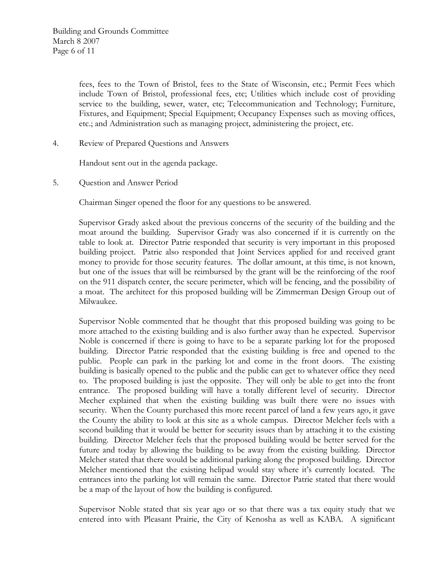fees, fees to the Town of Bristol, fees to the State of Wisconsin, etc.; Permit Fees which include Town of Bristol, professional fees, etc; Utilities which include cost of providing service to the building, sewer, water, etc; Telecommunication and Technology; Furniture, Fixtures, and Equipment; Special Equipment; Occupancy Expenses such as moving offices, etc.; and Administration such as managing project, administering the project, etc.

4. Review of Prepared Questions and Answers

Handout sent out in the agenda package.

5. Question and Answer Period

Chairman Singer opened the floor for any questions to be answered.

Supervisor Grady asked about the previous concerns of the security of the building and the moat around the building. Supervisor Grady was also concerned if it is currently on the table to look at. Director Patrie responded that security is very important in this proposed building project. Patrie also responded that Joint Services applied for and received grant money to provide for those security features. The dollar amount, at this time, is not known, but one of the issues that will be reimbursed by the grant will be the reinforcing of the roof on the 911 dispatch center, the secure perimeter, which will be fencing, and the possibility of a moat. The architect for this proposed building will be Zimmerman Design Group out of Milwaukee.

Supervisor Noble commented that he thought that this proposed building was going to be more attached to the existing building and is also further away than he expected. Supervisor Noble is concerned if there is going to have to be a separate parking lot for the proposed building. Director Patrie responded that the existing building is free and opened to the public. People can park in the parking lot and come in the front doors. The existing building is basically opened to the public and the public can get to whatever office they need to. The proposed building is just the opposite. They will only be able to get into the front entrance. The proposed building will have a totally different level of security. Director Mecher explained that when the existing building was built there were no issues with security. When the County purchased this more recent parcel of land a few years ago, it gave the County the ability to look at this site as a whole campus. Director Melcher feels with a second building that it would be better for security issues than by attaching it to the existing building. Director Melcher feels that the proposed building would be better served for the future and today by allowing the building to be away from the existing building. Director Melcher stated that there would be additional parking along the proposed building. Director Melcher mentioned that the existing helipad would stay where it's currently located. The entrances into the parking lot will remain the same. Director Patrie stated that there would be a map of the layout of how the building is configured.

Supervisor Noble stated that six year ago or so that there was a tax equity study that we entered into with Pleasant Prairie, the City of Kenosha as well as KABA. A significant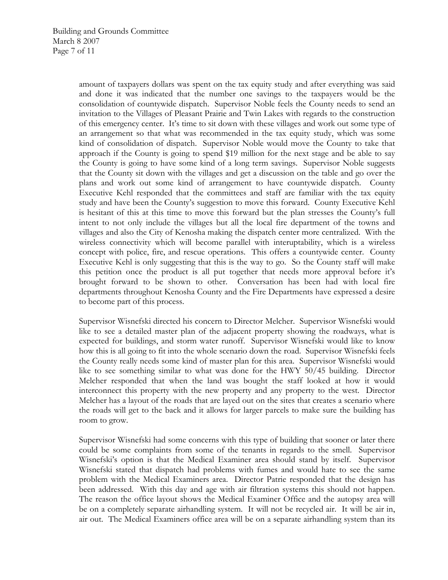amount of taxpayers dollars was spent on the tax equity study and after everything was said and done it was indicated that the number one savings to the taxpayers would be the consolidation of countywide dispatch. Supervisor Noble feels the County needs to send an invitation to the Villages of Pleasant Prairie and Twin Lakes with regards to the construction of this emergency center. It's time to sit down with these villages and work out some type of an arrangement so that what was recommended in the tax equity study, which was some kind of consolidation of dispatch. Supervisor Noble would move the County to take that approach if the County is going to spend \$19 million for the next stage and be able to say the County is going to have some kind of a long term savings. Supervisor Noble suggests that the County sit down with the villages and get a discussion on the table and go over the plans and work out some kind of arrangement to have countywide dispatch. County Executive Kehl responded that the committees and staff are familiar with the tax equity study and have been the County's suggestion to move this forward. County Executive Kehl is hesitant of this at this time to move this forward but the plan stresses the County's full intent to not only include the villages but all the local fire department of the towns and villages and also the City of Kenosha making the dispatch center more centralized. With the wireless connectivity which will become parallel with interuptability, which is a wireless concept with police, fire, and rescue operations. This offers a countywide center. County Executive Kehl is only suggesting that this is the way to go. So the County staff will make this petition once the product is all put together that needs more approval before it's brought forward to be shown to other. Conversation has been had with local fire departments throughout Kenosha County and the Fire Departments have expressed a desire to become part of this process.

Supervisor Wisnefski directed his concern to Director Melcher. Supervisor Wisnefski would like to see a detailed master plan of the adjacent property showing the roadways, what is expected for buildings, and storm water runoff. Supervisor Wisnefski would like to know how this is all going to fit into the whole scenario down the road. Supervisor Wisnefski feels the County really needs some kind of master plan for this area. Supervisor Wisnefski would like to see something similar to what was done for the HWY 50/45 building. Director Melcher responded that when the land was bought the staff looked at how it would interconnect this property with the new property and any property to the west. Director Melcher has a layout of the roads that are layed out on the sites that creates a scenario where the roads will get to the back and it allows for larger parcels to make sure the building has room to grow.

Supervisor Wisnefski had some concerns with this type of building that sooner or later there could be some complaints from some of the tenants in regards to the smell. Supervisor Wisnefski's option is that the Medical Examiner area should stand by itself. Supervisor Wisnefski stated that dispatch had problems with fumes and would hate to see the same problem with the Medical Examiners area. Director Patrie responded that the design has been addressed. With this day and age with air filtration systems this should not happen. The reason the office layout shows the Medical Examiner Office and the autopsy area will be on a completely separate airhandling system. It will not be recycled air. It will be air in, air out. The Medical Examiners office area will be on a separate airhandling system than its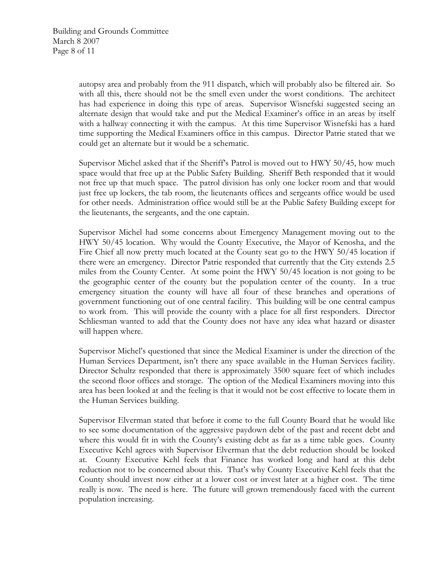autopsy area and probably from the 911 dispatch, which will probably also be filtered air. So with all this, there should not be the smell even under the worst conditions. The architect has had experience in doing this type of areas. Supervisor Wisnefski suggested seeing an alternate design that would take and put the Medical Examiner's office in an areas by itself with a hallway connecting it with the campus. At this time Supervisor Wisnefski has a hard time supporting the Medical Examiners office in this campus. Director Patrie stated that we could get an alternate but it would be a schematic.

Supervisor Michel asked that if the Sheriff's Patrol is moved out to HWY 50/45, how much space would that free up at the Public Safety Building. Sheriff Beth responded that it would not free up that much space. The patrol division has only one locker room and that would just free up lockers, the tab room, the lieutenants offices and sergeants office would be used for other needs. Administration office would still be at the Public Safety Building except for the lieutenants, the sergeants, and the one captain.

Supervisor Michel had some concerns about Emergency Management moving out to the HWY 50/45 location. Why would the County Executive, the Mayor of Kenosha, and the Fire Chief all now pretty much located at the County seat go to the HWY 50/45 location if there were an emergency. Director Patrie responded that currently that the City extends 2.5 miles from the County Center. At some point the HWY 50/45 location is not going to be the geographic center of the county but the population center of the county. In a true emergency situation the county will have all four of these branches and operations of government functioning out of one central facility. This building will be one central campus to work from. This will provide the county with a place for all first responders. Director Schliesman wanted to add that the County does not have any idea what hazard or disaster will happen where.

Supervisor Michel's questioned that since the Medical Examiner is under the direction of the Human Services Department, isn't there any space available in the Human Services facility. Director Schultz responded that there is approximately 3500 square feet of which includes the second floor offices and storage. The option of the Medical Examiners moving into this area has been looked at and the feeling is that it would not be cost effective to locate them in the Human Services building.

Supervisor Elverman stated that before it come to the full County Board that he would like to see some documentation of the aggressive paydown debt of the past and recent debt and where this would fit in with the County's existing debt as far as a time table goes. County Executive Kehl agrees with Supervisor Elverman that the debt reduction should be looked at. County Executive Kehl feels that Finance has worked long and hard at this debt reduction not to be concerned about this. That's why County Executive Kehl feels that the County should invest now either at a lower cost or invest later at a higher cost. The time really is now. The need is here. The future will grown tremendously faced with the current population increasing.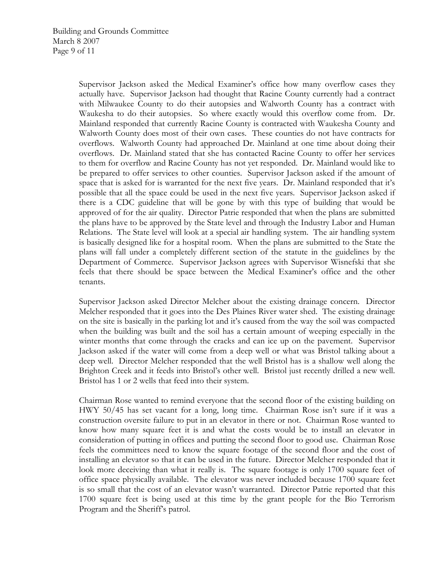Supervisor Jackson asked the Medical Examiner's office how many overflow cases they actually have. Supervisor Jackson had thought that Racine County currently had a contract with Milwaukee County to do their autopsies and Walworth County has a contract with Waukesha to do their autopsies. So where exactly would this overflow come from. Dr. Mainland responded that currently Racine County is contracted with Waukesha County and Walworth County does most of their own cases. These counties do not have contracts for overflows. Walworth County had approached Dr. Mainland at one time about doing their overflows. Dr. Mainland stated that she has contacted Racine County to offer her services to them for overflow and Racine County has not yet responded. Dr. Mainland would like to be prepared to offer services to other counties. Supervisor Jackson asked if the amount of space that is asked for is warranted for the next five years. Dr. Mainland responded that it's possible that all the space could be used in the next five years. Supervisor Jackson asked if there is a CDC guideline that will be gone by with this type of building that would be approved of for the air quality. Director Patrie responded that when the plans are submitted the plans have to be approved by the State level and through the Industry Labor and Human Relations. The State level will look at a special air handling system. The air handling system is basically designed like for a hospital room. When the plans are submitted to the State the plans will fall under a completely different section of the statute in the guidelines by the Department of Commerce. Supervisor Jackson agrees with Supervisor Wisnefski that she feels that there should be space between the Medical Examiner's office and the other tenants.

Supervisor Jackson asked Director Melcher about the existing drainage concern. Director Melcher responded that it goes into the Des Plaines River water shed. The existing drainage on the site is basically in the parking lot and it's caused from the way the soil was compacted when the building was built and the soil has a certain amount of weeping especially in the winter months that come through the cracks and can ice up on the pavement. Supervisor Jackson asked if the water will come from a deep well or what was Bristol talking about a deep well. Director Melcher responded that the well Bristol has is a shallow well along the Brighton Creek and it feeds into Bristol's other well. Bristol just recently drilled a new well. Bristol has 1 or 2 wells that feed into their system.

Chairman Rose wanted to remind everyone that the second floor of the existing building on HWY 50/45 has set vacant for a long, long time. Chairman Rose isn't sure if it was a construction oversite failure to put in an elevator in there or not. Chairman Rose wanted to know how many square feet it is and what the costs would be to install an elevator in consideration of putting in offices and putting the second floor to good use. Chairman Rose feels the committees need to know the square footage of the second floor and the cost of installing an elevator so that it can be used in the future. Director Melcher responded that it look more deceiving than what it really is. The square footage is only 1700 square feet of office space physically available. The elevator was never included because 1700 square feet is so small that the cost of an elevator wasn't warranted. Director Patrie reported that this 1700 square feet is being used at this time by the grant people for the Bio Terrorism Program and the Sheriff's patrol.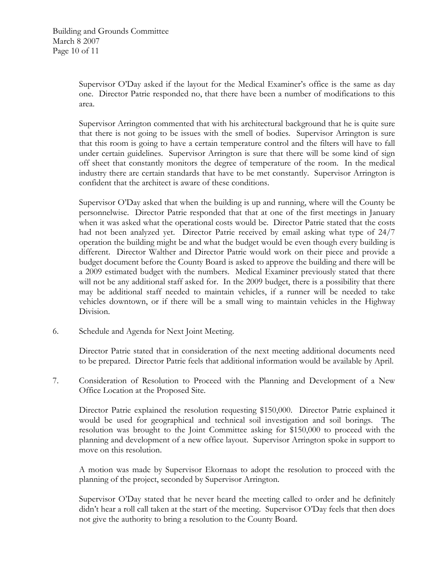Supervisor O'Day asked if the layout for the Medical Examiner's office is the same as day one. Director Patrie responded no, that there have been a number of modifications to this area.

Supervisor Arrington commented that with his architectural background that he is quite sure that there is not going to be issues with the smell of bodies. Supervisor Arrington is sure that this room is going to have a certain temperature control and the filters will have to fall under certain guidelines. Supervisor Arrington is sure that there will be some kind of sign off sheet that constantly monitors the degree of temperature of the room. In the medical industry there are certain standards that have to be met constantly. Supervisor Arrington is confident that the architect is aware of these conditions.

Supervisor O'Day asked that when the building is up and running, where will the County be personnelwise. Director Patrie responded that that at one of the first meetings in January when it was asked what the operational costs would be. Director Patrie stated that the costs had not been analyzed yet. Director Patrie received by email asking what type of 24/7 operation the building might be and what the budget would be even though every building is different. Director Walther and Director Patrie would work on their piece and provide a budget document before the County Board is asked to approve the building and there will be a 2009 estimated budget with the numbers. Medical Examiner previously stated that there will not be any additional staff asked for. In the 2009 budget, there is a possibility that there may be additional staff needed to maintain vehicles, if a runner will be needed to take vehicles downtown, or if there will be a small wing to maintain vehicles in the Highway Division.

6. Schedule and Agenda for Next Joint Meeting.

Director Patrie stated that in consideration of the next meeting additional documents need to be prepared. Director Patrie feels that additional information would be available by April.

7. Consideration of Resolution to Proceed with the Planning and Development of a New Office Location at the Proposed Site.

Director Patrie explained the resolution requesting \$150,000. Director Patrie explained it would be used for geographical and technical soil investigation and soil borings. The resolution was brought to the Joint Committee asking for \$150,000 to proceed with the planning and development of a new office layout. Supervisor Arrington spoke in support to move on this resolution.

A motion was made by Supervisor Ekornaas to adopt the resolution to proceed with the planning of the project, seconded by Supervisor Arrington.

Supervisor O'Day stated that he never heard the meeting called to order and he definitely didn't hear a roll call taken at the start of the meeting. Supervisor O'Day feels that then does not give the authority to bring a resolution to the County Board.